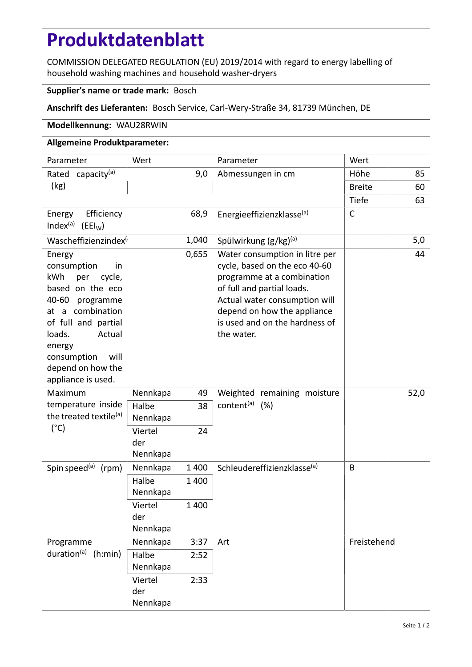# **Produktdatenblatt**

COMMISSION DELEGATED REGULATION (EU) 2019/2014 with regard to energy labelling of household washing machines and household washer-dryers

### **Supplier's name or trade mark:** Bosch

## **Anschrift des Lieferanten:** Bosch Service, Carl-Wery-Straße 34, 81739 München, DE

### **Modellkennung:** WAU28RWIN

## **Allgemeine Produktparameter:**

| Parameter                                                                                                                                                                                                                             | Wert                       |         | Parameter                                                                                                                                                                                                                                   | Wert          |     |
|---------------------------------------------------------------------------------------------------------------------------------------------------------------------------------------------------------------------------------------|----------------------------|---------|---------------------------------------------------------------------------------------------------------------------------------------------------------------------------------------------------------------------------------------------|---------------|-----|
| Rated capacity <sup>(a)</sup>                                                                                                                                                                                                         | 9,0                        |         | Abmessungen in cm                                                                                                                                                                                                                           | Höhe          | 85  |
| (kg)                                                                                                                                                                                                                                  |                            |         |                                                                                                                                                                                                                                             | <b>Breite</b> | 60  |
|                                                                                                                                                                                                                                       |                            |         |                                                                                                                                                                                                                                             | Tiefe         | 63  |
| Efficiency<br>Energy<br>Index <sup>(a)</sup> (EEI <sub>W</sub> )                                                                                                                                                                      |                            | 68,9    | Energieeffizienzklasse <sup>(a)</sup>                                                                                                                                                                                                       | $\mathsf{C}$  |     |
| Wascheffizienzindex <sup>(</sup>                                                                                                                                                                                                      |                            | 1,040   | Spülwirkung (g/kg) <sup>(a)</sup>                                                                                                                                                                                                           |               | 5,0 |
| Energy<br>consumption<br>in<br>kWh<br>per<br>cycle,<br>based on the eco<br>40-60 programme<br>at a combination<br>of full and partial<br>loads.<br>Actual<br>energy<br>will<br>consumption<br>depend on how the<br>appliance is used. |                            | 0,655   | Water consumption in litre per<br>cycle, based on the eco 40-60<br>programme at a combination<br>of full and partial loads.<br>Actual water consumption will<br>depend on how the appliance<br>is used and on the hardness of<br>the water. |               | 44  |
| Maximum<br>temperature inside<br>the treated textile <sup>(a)</sup><br>$(^{\circ}C)$                                                                                                                                                  | Nennkapa                   | 49      | Weighted remaining moisture<br>content <sup>(a)</sup> (%)                                                                                                                                                                                   | 52,0          |     |
|                                                                                                                                                                                                                                       | Halbe<br>Nennkapa          | 38      |                                                                                                                                                                                                                                             |               |     |
|                                                                                                                                                                                                                                       | Viertel<br>der<br>Nennkapa | 24      |                                                                                                                                                                                                                                             |               |     |
| Spin speed <sup>(a)</sup><br>(rpm)                                                                                                                                                                                                    | Nennkapa                   | 1 4 0 0 | Schleudereffizienzklasse <sup>(a)</sup>                                                                                                                                                                                                     | B             |     |
|                                                                                                                                                                                                                                       | Halbe<br>Nennkapa          | 1 400   |                                                                                                                                                                                                                                             |               |     |
|                                                                                                                                                                                                                                       | Viertel<br>der<br>Nennkapa | 1 400   |                                                                                                                                                                                                                                             |               |     |
| Programme<br>duration <sup>(a)</sup> (h:min)                                                                                                                                                                                          | Nennkapa                   | 3:37    | Art                                                                                                                                                                                                                                         | Freistehend   |     |
|                                                                                                                                                                                                                                       | Halbe<br>Nennkapa          | 2:52    |                                                                                                                                                                                                                                             |               |     |
|                                                                                                                                                                                                                                       | Viertel<br>der<br>Nennkapa | 2:33    |                                                                                                                                                                                                                                             |               |     |